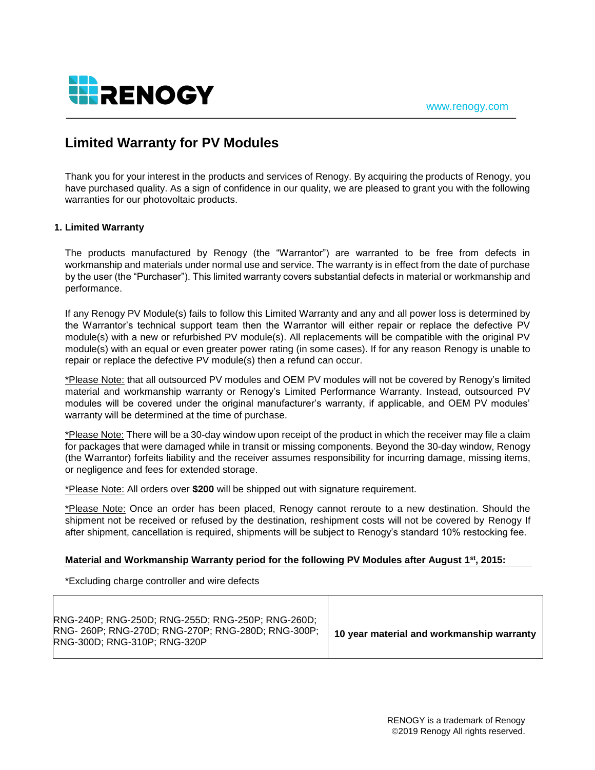

# **Limited Warranty for PV Modules**

Thank you for your interest in the products and services of Renogy. By acquiring the products of Renogy, you have purchased quality. As a sign of confidence in our quality, we are pleased to grant you with the following warranties for our photovoltaic products.

# **1. Limited Warranty**

The products manufactured by Renogy (the "Warrantor") are warranted to be free from defects in workmanship and materials under normal use and service. The warranty is in effect from the date of purchase by the user (the "Purchaser"). This limited warranty covers substantial defects in material or workmanship and performance.

If any Renogy PV Module(s) fails to follow this Limited Warranty and any and all power loss is determined by the Warrantor's technical support team then the Warrantor will either repair or replace the defective PV module(s) with a new or refurbished PV module(s). All replacements will be compatible with the original PV module(s) with an equal or even greater power rating (in some cases). If for any reason Renogy is unable to repair or replace the defective PV module(s) then a refund can occur.

\*Please Note: that all outsourced PV modules and OEM PV modules will not be covered by Renogy's limited material and workmanship warranty or Renogy's Limited Performance Warranty. Instead, outsourced PV modules will be covered under the original manufacturer's warranty, if applicable, and OEM PV modules' warranty will be determined at the time of purchase.

\*Please Note: There will be a 30-day window upon receipt of the product in which the receiver may file a claim for packages that were damaged while in transit or missing components. Beyond the 30-day window, Renogy (the Warrantor) forfeits liability and the receiver assumes responsibility for incurring damage, missing items, or negligence and fees for extended storage.

\*Please Note: All orders over **\$200** will be shipped out with signature requirement.

\*Please Note: Once an order has been placed, Renogy cannot reroute to a new destination. Should the shipment not be received or refused by the destination, reshipment costs will not be covered by Renogy If after shipment, cancellation is required, shipments will be subject to Renogy's standard 10% restocking fee.

## **Material and Workmanship Warranty period for the following PV Modules after August 1 st , 2015:**

\*Excluding charge controller and wire defects

| RNG-240P; RNG-250D; RNG-255D; RNG-250P; RNG-260D;<br>RNG- 260P; RNG-270D; RNG-270P; RNG-280D; RNG-300P;<br><b>RNG-300D: RNG-310P: RNG-320P</b> | 10 year material and workmanship warranty |
|------------------------------------------------------------------------------------------------------------------------------------------------|-------------------------------------------|
|                                                                                                                                                |                                           |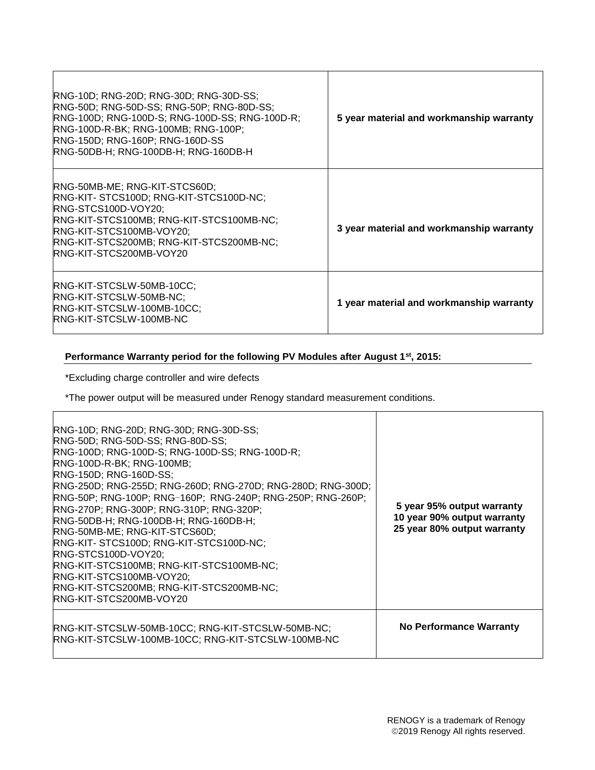| RNG-10D; RNG-20D; RNG-30D; RNG-30D-SS;<br>RNG-50D; RNG-50D-SS; RNG-50P; RNG-80D-SS;<br>RNG-100D; RNG-100D-S; RNG-100D-SS; RNG-100D-R;<br>RNG-100D-R-BK; RNG-100MB; RNG-100P;<br>RNG-150D; RNG-160P; RNG-160D-SS<br>RNG-50DB-H; RNG-100DB-H; RNG-160DB-H | 5 year material and workmanship warranty |
|---------------------------------------------------------------------------------------------------------------------------------------------------------------------------------------------------------------------------------------------------------|------------------------------------------|
| RNG-50MB-ME; RNG-KIT-STCS60D;<br>RNG-KIT-STCS100D; RNG-KIT-STCS100D-NC;<br>RNG-STCS100D-VOY20;<br>RNG-KIT-STCS100MB; RNG-KIT-STCS100MB-NC;<br>RNG-KIT-STCS100MB-VOY20;<br>RNG-KIT-STCS200MB; RNG-KIT-STCS200MB-NC;<br><b>RNG-KIT-STCS200MB-VOY20</b>    | 3 year material and workmanship warranty |
| RNG-KIT-STCSLW-50MB-10CC;<br><b>RNG-KIT-STCSLW-50MB-NC;</b><br>RNG-KIT-STCSLW-100MB-10CC;<br><b>RNG-KIT-STCSLW-100MB-NC</b>                                                                                                                             | 1 year material and workmanship warranty |

# **Performance Warranty period for the following PV Modules after August 1st, 2015:**

\*Excluding charge controller and wire defects

\*The power output will be measured under Renogy standard measurement conditions.

| RNG-10D; RNG-20D; RNG-30D; RNG-30D-SS;<br>RNG-50D; RNG-50D-SS; RNG-80D-SS;<br>RNG-100D; RNG-100D-S; RNG-100D-SS; RNG-100D-R;<br>RNG-100D-R-BK; RNG-100MB;<br><b>RNG-150D; RNG-160D-SS;</b><br>RNG-250D; RNG-255D; RNG-260D; RNG-270D; RNG-280D; RNG-300D;<br><b>RNG-50P; RNG-100P; RNG-160P; RNG-240P; RNG-250P; RNG-260P;</b><br>RNG-270P; RNG-300P; RNG-310P; RNG-320P;<br>RNG-50DB-H; RNG-100DB-H; RNG-160DB-H;<br>RNG-50MB-ME; RNG-KIT-STCS60D;<br>RNG-KIT-STCS100D; RNG-KIT-STCS100D-NC;<br>RNG-STCS100D-VOY20;<br>RNG-KIT-STCS100MB; RNG-KIT-STCS100MB-NC;<br>RNG-KIT-STCS100MB-VOY20;<br><b>RNG-KIT-STCS200MB; RNG-KIT-STCS200MB-NC;</b><br><b>RNG-KIT-STCS200MB-VOY20</b> | 5 year 95% output warranty<br>10 year 90% output warranty<br>25 year 80% output warranty |
|-----------------------------------------------------------------------------------------------------------------------------------------------------------------------------------------------------------------------------------------------------------------------------------------------------------------------------------------------------------------------------------------------------------------------------------------------------------------------------------------------------------------------------------------------------------------------------------------------------------------------------------------------------------------------------------|------------------------------------------------------------------------------------------|
| RNG-KIT-STCSLW-50MB-10CC; RNG-KIT-STCSLW-50MB-NC;<br>RNG-KIT-STCSLW-100MB-10CC; RNG-KIT-STCSLW-100MB-NC                                                                                                                                                                                                                                                                                                                                                                                                                                                                                                                                                                           | <b>No Performance Warranty</b>                                                           |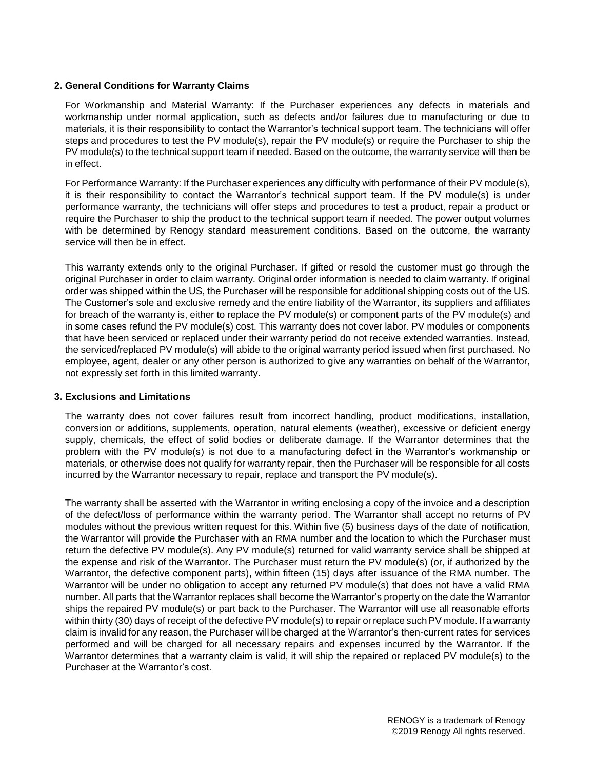# **2. General Conditions for Warranty Claims**

For Workmanship and Material Warranty: If the Purchaser experiences any defects in materials and workmanship under normal application, such as defects and/or failures due to manufacturing or due to materials, it is their responsibility to contact the Warrantor's technical support team. The technicians will offer steps and procedures to test the PV module(s), repair the PV module(s) or require the Purchaser to ship the PV module(s) to the technical support team if needed. Based on the outcome, the warranty service will then be in effect.

For Performance Warranty: If the Purchaser experiences any difficulty with performance of their PV module(s), it is their responsibility to contact the Warrantor's technical support team. If the PV module(s) is under performance warranty, the technicians will offer steps and procedures to test a product, repair a product or require the Purchaser to ship the product to the technical support team if needed. The power output volumes with be determined by Renogy standard measurement conditions. Based on the outcome, the warranty service will then be in effect.

This warranty extends only to the original Purchaser. If gifted or resold the customer must go through the original Purchaser in order to claim warranty. Original order information is needed to claim warranty. If original order was shipped within the US, the Purchaser will be responsible for additional shipping costs out of the US. The Customer's sole and exclusive remedy and the entire liability of the Warrantor, its suppliers and affiliates for breach of the warranty is, either to replace the PV module(s) or component parts of the PV module(s) and in some cases refund the PV module(s) cost. This warranty does not cover labor. PV modules or components that have been serviced or replaced under their warranty period do not receive extended warranties. Instead, the serviced/replaced PV module(s) will abide to the original warranty period issued when first purchased. No employee, agent, dealer or any other person is authorized to give any warranties on behalf of the Warrantor, not expressly set forth in this limited warranty.

## **3. Exclusions and Limitations**

The warranty does not cover failures result from incorrect handling, product modifications, installation, conversion or additions, supplements, operation, natural elements (weather), excessive or deficient energy supply, chemicals, the effect of solid bodies or deliberate damage. If the Warrantor determines that the problem with the PV module(s) is not due to a manufacturing defect in the Warrantor's workmanship or materials, or otherwise does not qualify for warranty repair, then the Purchaser will be responsible for all costs incurred by the Warrantor necessary to repair, replace and transport the PV module(s).

The warranty shall be asserted with the Warrantor in writing enclosing a copy of the invoice and a description of the defect/loss of performance within the warranty period. The Warrantor shall accept no returns of PV modules without the previous written request for this. Within five (5) business days of the date of notification, the Warrantor will provide the Purchaser with an RMA number and the location to which the Purchaser must return the defective PV module(s). Any PV module(s) returned for valid warranty service shall be shipped at the expense and risk of the Warrantor. The Purchaser must return the PV module(s) (or, if authorized by the Warrantor, the defective component parts), within fifteen (15) days after issuance of the RMA number. The Warrantor will be under no obligation to accept any returned PV module(s) that does not have a valid RMA number. All parts that the Warrantor replaces shall become the Warrantor's property on the date the Warrantor ships the repaired PV module(s) or part back to the Purchaser. The Warrantor will use all reasonable efforts within thirty (30) days of receipt of the defective PV module(s) to repair or replace such PV module. If a warranty claim is invalid for any reason, the Purchaser will be charged at the Warrantor's then-current rates for services performed and will be charged for all necessary repairs and expenses incurred by the Warrantor. If the Warrantor determines that a warranty claim is valid, it will ship the repaired or replaced PV module(s) to the Purchaser at the Warrantor's cost.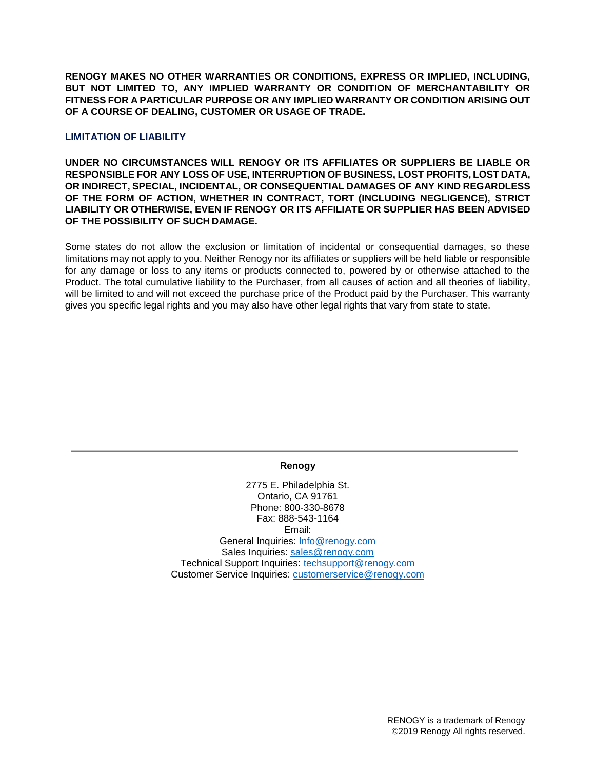**RENOGY MAKES NO OTHER WARRANTIES OR CONDITIONS, EXPRESS OR IMPLIED, INCLUDING, BUT NOT LIMITED TO, ANY IMPLIED WARRANTY OR CONDITION OF MERCHANTABILITY OR FITNESS FOR A PARTICULAR PURPOSE OR ANY IMPLIED WARRANTY OR CONDITION ARISING OUT OF A COURSE OF DEALING, CUSTOMER OR USAGE OF TRADE.**

# **LIMITATION OF LIABILITY**

**UNDER NO CIRCUMSTANCES WILL RENOGY OR ITS AFFILIATES OR SUPPLIERS BE LIABLE OR RESPONSIBLE FOR ANY LOSS OF USE, INTERRUPTION OF BUSINESS, LOST PROFITS, LOST DATA, OR INDIRECT, SPECIAL, INCIDENTAL, OR CONSEQUENTIAL DAMAGES OF ANY KIND REGARDLESS OF THE FORM OF ACTION, WHETHER IN CONTRACT, TORT (INCLUDING NEGLIGENCE), STRICT LIABILITY OR OTHERWISE, EVEN IF RENOGY OR ITS AFFILIATE OR SUPPLIER HAS BEEN ADVISED OF THE POSSIBILITY OF SUCH DAMAGE.**

Some states do not allow the exclusion or limitation of incidental or consequential damages, so these limitations may not apply to you. Neither Renogy nor its affiliates or suppliers will be held liable or responsible for any damage or loss to any items or products connected to, powered by or otherwise attached to the Product. The total cumulative liability to the Purchaser, from all causes of action and all theories of liability, will be limited to and will not exceed the purchase price of the Product paid by the Purchaser. This warranty gives you specific legal rights and you may also have other legal rights that vary from state to state.

## **Renogy**

2775 E. Philadelphia St. Ontario, CA 91761 Phone: 800-330-8678 Fax: 888-543-1164 Email: General Inquiries: [Info@renogy.com](mailto:Info@renogy.com) Sales Inquiries: [sales@renogy.com](mailto:sales@renogy.com) Technical Support Inquiries: [techsupport@renogy.com](mailto:techsupport@renogy.com) Customer Service Inquiries: [customerservice@renogy.com](mailto:customerservice@renogy.com)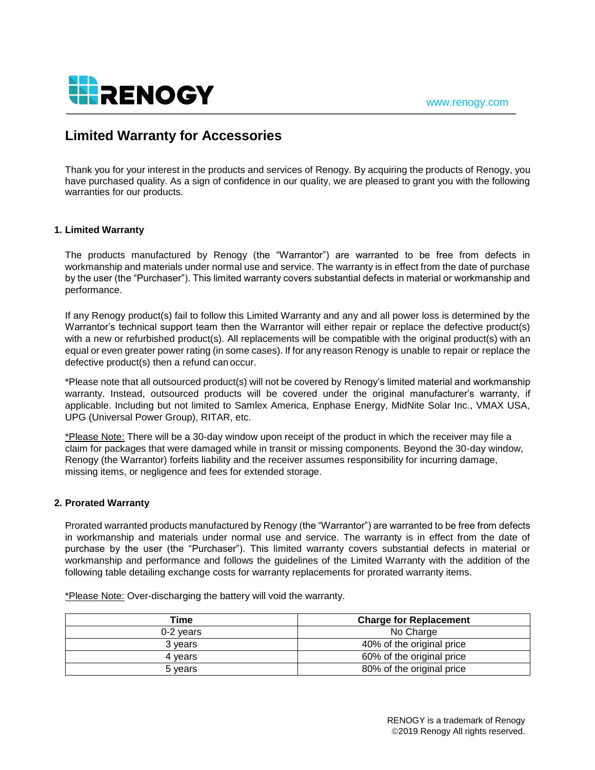

# **Limited Warranty for Accessories**

Thank you for your interest in the products and services of Renogy. By acquiring the products of Renogy, you have purchased quality. As a sign of confidence in our quality, we are pleased to grant you with the following warranties for our products.

# **1. Limited Warranty**

The products manufactured by Renogy (the "Warrantor") are warranted to be free from defects in workmanship and materials under normal use and service. The warranty is in effect from the date of purchase by the user (the "Purchaser"). This limited warranty covers substantial defects in material or workmanship and performance.

If any Renogy product(s) fail to follow this Limited Warranty and any and all power loss is determined by the Warrantor's technical support team then the Warrantor will either repair or replace the defective product(s) with a new or refurbished product(s). All replacements will be compatible with the original product(s) with an equal or even greater power rating (in some cases). If for any reason Renogy is unable to repair or replace the defective product(s) then a refund can occur.

\*Please note that all outsourced product(s) will not be covered by Renogy's limited material and workmanship warranty. Instead, outsourced products will be covered under the original manufacturer's warranty, if applicable. Including but not limited to Samlex America, Enphase Energy, MidNite Solar Inc., VMAX USA, UPG (Universal Power Group), RITAR, etc.

\*Please Note: There will be a 30-day window upon receipt of the product in which the receiver may file a claim for packages that were damaged while in transit or missing components. Beyond the 30-day window, Renogy (the Warrantor) forfeits liability and the receiver assumes responsibility for incurring damage, missing items, or negligence and fees for extended storage.

## **2. Prorated Warranty**

Prorated warranted products manufactured by Renogy (the "Warrantor") are warranted to be free from defects in workmanship and materials under normal use and service. The warranty is in effect from the date of purchase by the user (the "Purchaser"). This limited warranty covers substantial defects in material or workmanship and performance and follows the guidelines of the Limited Warranty with the addition of the following table detailing exchange costs for warranty replacements for prorated warranty items.

\*Please Note: Over-discharging the battery will void the warranty.

| Time      | <b>Charge for Replacement</b> |
|-----------|-------------------------------|
| 0-2 years | No Charge                     |
| 3 vears   | 40% of the original price     |
| 4 years   | 60% of the original price     |
| 5 years   | 80% of the original price     |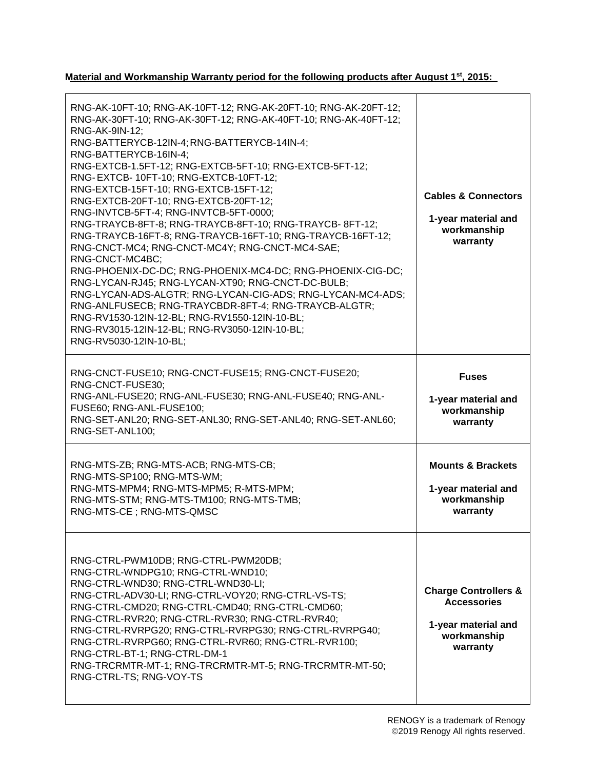**Material and Workmanship Warranty period for the following products after August 1st, 2015:**

| RNG-AK-10FT-10; RNG-AK-10FT-12; RNG-AK-20FT-10; RNG-AK-20FT-12;<br>RNG-AK-30FT-10; RNG-AK-30FT-12; RNG-AK-40FT-10; RNG-AK-40FT-12;<br>RNG-AK-9IN-12;<br>RNG-BATTERYCB-12IN-4; RNG-BATTERYCB-14IN-4;<br>RNG-BATTERYCB-16IN-4;<br>RNG-EXTCB-1.5FT-12; RNG-EXTCB-5FT-10; RNG-EXTCB-5FT-12;<br>RNG-EXTCB-10FT-10; RNG-EXTCB-10FT-12;<br>RNG-EXTCB-15FT-10; RNG-EXTCB-15FT-12;<br>RNG-EXTCB-20FT-10; RNG-EXTCB-20FT-12;<br>RNG-INVTCB-5FT-4; RNG-INVTCB-5FT-0000;<br>RNG-TRAYCB-8FT-8; RNG-TRAYCB-8FT-10; RNG-TRAYCB-8FT-12;<br>RNG-TRAYCB-16FT-8; RNG-TRAYCB-16FT-10; RNG-TRAYCB-16FT-12;<br>RNG-CNCT-MC4; RNG-CNCT-MC4Y; RNG-CNCT-MC4-SAE;<br>RNG-CNCT-MC4BC;<br>RNG-PHOENIX-DC-DC; RNG-PHOENIX-MC4-DC; RNG-PHOENIX-CIG-DC;<br>RNG-LYCAN-RJ45; RNG-LYCAN-XT90; RNG-CNCT-DC-BULB;<br>RNG-LYCAN-ADS-ALGTR; RNG-LYCAN-CIG-ADS; RNG-LYCAN-MC4-ADS;<br>RNG-ANLFUSECB; RNG-TRAYCBDR-8FT-4; RNG-TRAYCB-ALGTR;<br>RNG-RV1530-12IN-12-BL; RNG-RV1550-12IN-10-BL;<br>RNG-RV3015-12IN-12-BL; RNG-RV3050-12IN-10-BL;<br>RNG-RV5030-12IN-10-BL; | <b>Cables &amp; Connectors</b><br>1-year material and<br>workmanship<br>warranty                        |
|---------------------------------------------------------------------------------------------------------------------------------------------------------------------------------------------------------------------------------------------------------------------------------------------------------------------------------------------------------------------------------------------------------------------------------------------------------------------------------------------------------------------------------------------------------------------------------------------------------------------------------------------------------------------------------------------------------------------------------------------------------------------------------------------------------------------------------------------------------------------------------------------------------------------------------------------------------------------------------------------------------------------------------|---------------------------------------------------------------------------------------------------------|
| RNG-CNCT-FUSE10; RNG-CNCT-FUSE15; RNG-CNCT-FUSE20;<br>RNG-CNCT-FUSE30;<br>RNG-ANL-FUSE20; RNG-ANL-FUSE30; RNG-ANL-FUSE40; RNG-ANL-<br>FUSE60; RNG-ANL-FUSE100;<br>RNG-SET-ANL20; RNG-SET-ANL30; RNG-SET-ANL40; RNG-SET-ANL60;<br>RNG-SET-ANL100;                                                                                                                                                                                                                                                                                                                                                                                                                                                                                                                                                                                                                                                                                                                                                                                | <b>Fuses</b><br>1-year material and<br>workmanship<br>warranty                                          |
| RNG-MTS-ZB; RNG-MTS-ACB; RNG-MTS-CB;<br>RNG-MTS-SP100; RNG-MTS-WM;<br>RNG-MTS-MPM4; RNG-MTS-MPM5; R-MTS-MPM;<br>RNG-MTS-STM; RNG-MTS-TM100; RNG-MTS-TMB;<br>RNG-MTS-CE; RNG-MTS-QMSC                                                                                                                                                                                                                                                                                                                                                                                                                                                                                                                                                                                                                                                                                                                                                                                                                                            | <b>Mounts &amp; Brackets</b><br>1-year material and<br>workmanship<br>warranty                          |
| RNG-CTRL-PWM10DB; RNG-CTRL-PWM20DB;<br>RNG-CTRL-WNDPG10; RNG-CTRL-WND10;<br>RNG-CTRL-WND30; RNG-CTRL-WND30-LI;<br>RNG-CTRL-ADV30-LI; RNG-CTRL-VOY20; RNG-CTRL-VS-TS;<br>RNG-CTRL-CMD20; RNG-CTRL-CMD40; RNG-CTRL-CMD60;<br>RNG-CTRL-RVR20; RNG-CTRL-RVR30; RNG-CTRL-RVR40;<br>RNG-CTRL-RVRPG20; RNG-CTRL-RVRPG30; RNG-CTRL-RVRPG40;<br>RNG-CTRL-RVRPG60; RNG-CTRL-RVR60; RNG-CTRL-RVR100;<br>RNG-CTRL-BT-1; RNG-CTRL-DM-1<br>RNG-TRCRMTR-MT-1; RNG-TRCRMTR-MT-5; RNG-TRCRMTR-MT-50;<br>RNG-CTRL-TS; RNG-VOY-TS                                                                                                                                                                                                                                                                                                                                                                                                                                                                                                                  | <b>Charge Controllers &amp;</b><br><b>Accessories</b><br>1-year material and<br>workmanship<br>warranty |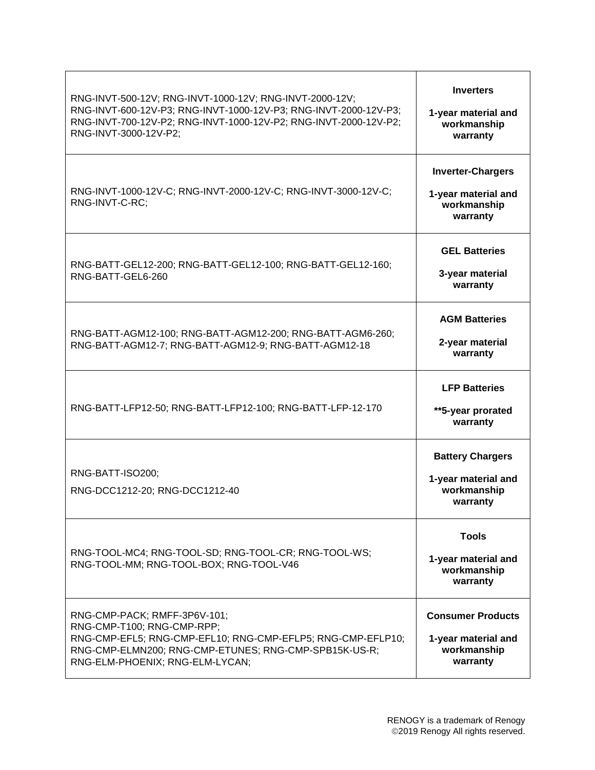| RNG-INVT-500-12V; RNG-INVT-1000-12V; RNG-INVT-2000-12V;<br>RNG-INVT-600-12V-P3; RNG-INVT-1000-12V-P3; RNG-INVT-2000-12V-P3;<br>RNG-INVT-700-12V-P2; RNG-INVT-1000-12V-P2; RNG-INVT-2000-12V-P2;<br>RNG-INVT-3000-12V-P2; | <b>Inverters</b><br>1-year material and<br>workmanship<br>warranty         |
|--------------------------------------------------------------------------------------------------------------------------------------------------------------------------------------------------------------------------|----------------------------------------------------------------------------|
| RNG-INVT-1000-12V-C; RNG-INVT-2000-12V-C; RNG-INVT-3000-12V-C;<br>RNG-INVT-C-RC;                                                                                                                                         | <b>Inverter-Chargers</b><br>1-year material and<br>workmanship<br>warranty |
| RNG-BATT-GEL12-200; RNG-BATT-GEL12-100; RNG-BATT-GEL12-160;<br>RNG-BATT-GEL6-260                                                                                                                                         | <b>GEL Batteries</b><br>3-year material<br>warranty                        |
| RNG-BATT-AGM12-100; RNG-BATT-AGM12-200; RNG-BATT-AGM6-260;<br>RNG-BATT-AGM12-7; RNG-BATT-AGM12-9; RNG-BATT-AGM12-18                                                                                                      | <b>AGM Batteries</b><br>2-year material<br>warranty                        |
| RNG-BATT-LFP12-50; RNG-BATT-LFP12-100; RNG-BATT-LFP-12-170                                                                                                                                                               | <b>LFP Batteries</b><br>**5-year prorated<br>warranty                      |
| RNG-BATT-ISO200;<br>RNG-DCC1212-20; RNG-DCC1212-40                                                                                                                                                                       | <b>Battery Chargers</b><br>1-year material and<br>workmanship<br>warranty  |
| RNG-TOOL-MC4; RNG-TOOL-SD; RNG-TOOL-CR; RNG-TOOL-WS;<br>RNG-TOOL-MM; RNG-TOOL-BOX; RNG-TOOL-V46                                                                                                                          | <b>Tools</b><br>1-year material and<br>workmanship<br>warranty             |
| RNG-CMP-PACK; RMFF-3P6V-101;<br>RNG-CMP-T100; RNG-CMP-RPP;<br>RNG-CMP-EFL5; RNG-CMP-EFL10; RNG-CMP-EFLP5; RNG-CMP-EFLP10;<br>RNG-CMP-ELMN200; RNG-CMP-ETUNES; RNG-CMP-SPB15K-US-R;<br>RNG-ELM-PHOENIX; RNG-ELM-LYCAN;    | <b>Consumer Products</b><br>1-year material and<br>workmanship<br>warranty |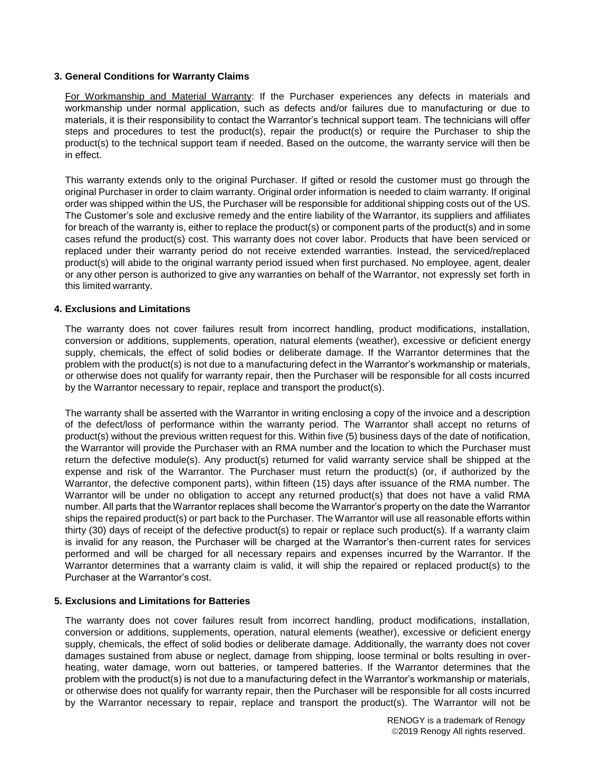## **3. General Conditions for Warranty Claims**

For Workmanship and Material Warranty: If the Purchaser experiences any defects in materials and workmanship under normal application, such as defects and/or failures due to manufacturing or due to materials, it is their responsibility to contact the Warrantor's technical support team. The technicians will offer steps and procedures to test the product(s), repair the product(s) or require the Purchaser to ship the product(s) to the technical support team if needed. Based on the outcome, the warranty service will then be in effect.

This warranty extends only to the original Purchaser. If gifted or resold the customer must go through the original Purchaser in order to claim warranty. Original order information is needed to claim warranty. If original order was shipped within the US, the Purchaser will be responsible for additional shipping costs out of the US. The Customer's sole and exclusive remedy and the entire liability of the Warrantor, its suppliers and affiliates for breach of the warranty is, either to replace the product(s) or component parts of the product(s) and in some cases refund the product(s) cost. This warranty does not cover labor. Products that have been serviced or replaced under their warranty period do not receive extended warranties. Instead, the serviced/replaced product(s) will abide to the original warranty period issued when first purchased. No employee, agent, dealer or any other person is authorized to give any warranties on behalf of the Warrantor, not expressly set forth in this limited warranty.

# **4. Exclusions and Limitations**

The warranty does not cover failures result from incorrect handling, product modifications, installation, conversion or additions, supplements, operation, natural elements (weather), excessive or deficient energy supply, chemicals, the effect of solid bodies or deliberate damage. If the Warrantor determines that the problem with the product(s) is not due to a manufacturing defect in the Warrantor's workmanship or materials, or otherwise does not qualify for warranty repair, then the Purchaser will be responsible for all costs incurred by the Warrantor necessary to repair, replace and transport the product(s).

The warranty shall be asserted with the Warrantor in writing enclosing a copy of the invoice and a description of the defect/loss of performance within the warranty period. The Warrantor shall accept no returns of product(s) without the previous written request for this. Within five (5) business days of the date of notification, the Warrantor will provide the Purchaser with an RMA number and the location to which the Purchaser must return the defective module(s). Any product(s) returned for valid warranty service shall be shipped at the expense and risk of the Warrantor. The Purchaser must return the product(s) (or, if authorized by the Warrantor, the defective component parts), within fifteen (15) days after issuance of the RMA number. The Warrantor will be under no obligation to accept any returned product(s) that does not have a valid RMA number. All parts that the Warrantor replaces shall become the Warrantor's property on the date the Warrantor ships the repaired product(s) or part back to the Purchaser. The Warrantor will use all reasonable efforts within thirty (30) days of receipt of the defective product(s) to repair or replace such product(s). If a warranty claim is invalid for any reason, the Purchaser will be charged at the Warrantor's then-current rates for services performed and will be charged for all necessary repairs and expenses incurred by the Warrantor. If the Warrantor determines that a warranty claim is valid, it will ship the repaired or replaced product(s) to the Purchaser at the Warrantor's cost.

## **5. Exclusions and Limitations for Batteries**

The warranty does not cover failures result from incorrect handling, product modifications, installation, conversion or additions, supplements, operation, natural elements (weather), excessive or deficient energy supply, chemicals, the effect of solid bodies or deliberate damage. Additionally, the warranty does not cover damages sustained from abuse or neglect, damage from shipping, loose terminal or bolts resulting in overheating, water damage, worn out batteries, or tampered batteries. If the Warrantor determines that the problem with the product(s) is not due to a manufacturing defect in the Warrantor's workmanship or materials, or otherwise does not qualify for warranty repair, then the Purchaser will be responsible for all costs incurred by the Warrantor necessary to repair, replace and transport the product(s). The Warrantor will not be